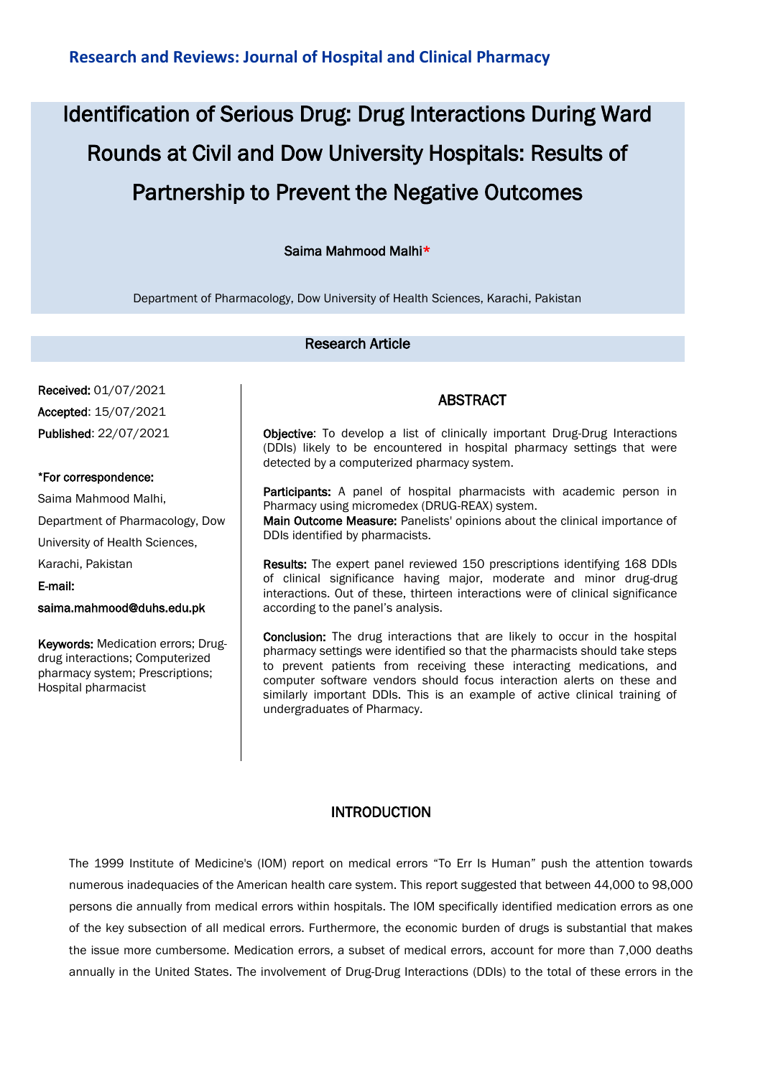# Identification of Serious Drug: Drug Interactions During Ward Rounds at Civil and Dow University Hospitals: Results of Partnership to Prevent the Negative Outcomes

## Saima Mahmood Malhi\*

Department of Pharmacology, Dow University of Health Sciences, Karachi, Pakistan

## Research Article

Received: 01/07/2021 Accepted: 15/07/2021 Published: 22/07/2021

#### \*For correspondence:

Saima Mahmood Malhi, Department of Pharmacology, Dow University of Health Sciences, Karachi, Pakistan E-mail:

saima.mahmood@duhs.edu.pk

Keywords: Medication errors; Drugdrug interactions; Computerized pharmacy system; Prescriptions; Hospital pharmacist

## ABSTRACT

Objective: To develop a list of clinically important Drug-Drug Interactions (DDIs) likely to be encountered in hospital pharmacy settings that were detected by a computerized pharmacy system.

Participants: A panel of hospital pharmacists with academic person in Pharmacy using micromedex (DRUG-REAX) system.

Main Outcome Measure: Panelists' opinions about the clinical importance of DDIs identified by pharmacists.

Results: The expert panel reviewed 150 prescriptions identifying 168 DDIs of clinical significance having major, moderate and minor drug-drug interactions. Out of these, thirteen interactions were of clinical significance according to the panel's analysis.

Conclusion: The drug interactions that are likely to occur in the hospital pharmacy settings were identified so that the pharmacists should take steps to prevent patients from receiving these interacting medications, and computer software vendors should focus interaction alerts on these and similarly important DDIs. This is an example of active clinical training of undergraduates of Pharmacy.

### INTRODUCTION

The 1999 Institute of Medicine's (IOM) report on medical errors "To Err Is Human" push the attention towards numerous inadequacies of the American health care system. This report suggested that between 44,000 to 98,000 persons die annually from medical errors within hospitals. The IOM specifically identified medication errors as one of the key subsection of all medical errors. Furthermore, the economic burden of drugs is substantial that makes the issue more cumbersome. Medication errors, a subset of medical errors, account for more than 7,000 deaths annually in the United States. The involvement of Drug-Drug Interactions (DDIs) to the total of these errors in the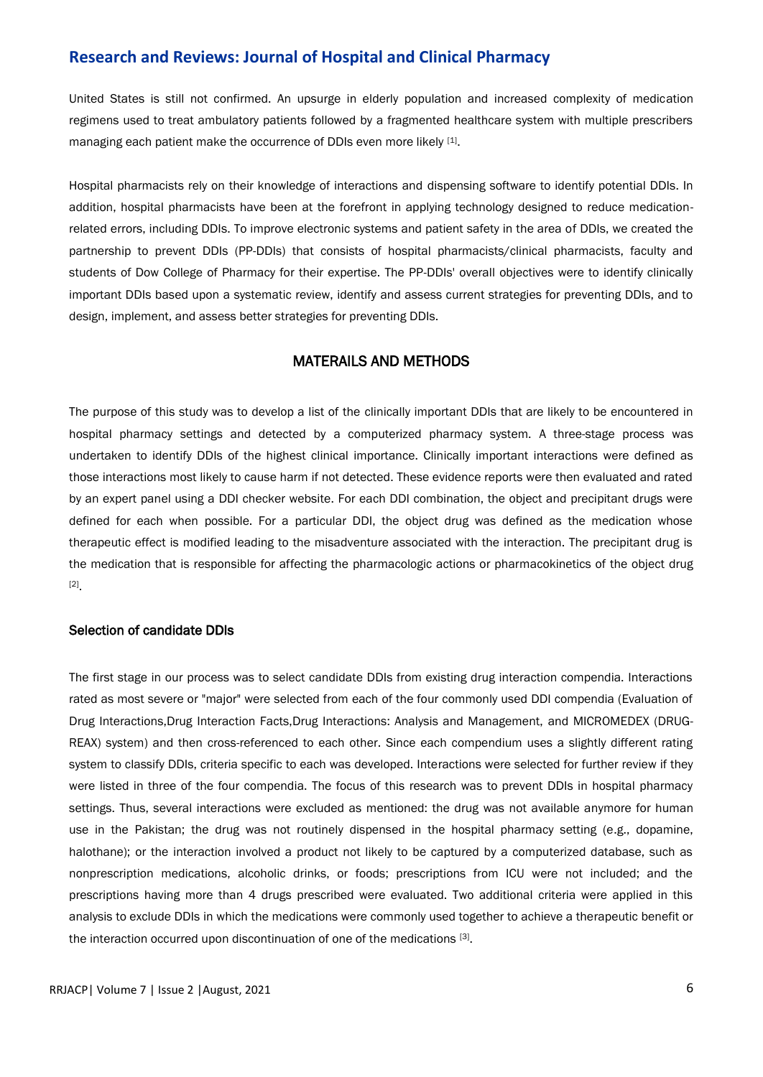United States is still not confirmed. An upsurge in elderly population and increased complexity of medication regimens used to treat ambulatory patients followed by a fragmented healthcare system with multiple prescribers managing each patient make the occurrence of DDIs even more likely [1].

Hospital pharmacists rely on their knowledge of interactions and dispensing software to identify potential DDIs. In addition, hospital pharmacists have been at the forefront in applying technology designed to reduce medicationrelated errors, including DDIs. To improve electronic systems and patient safety in the area of DDIs, we created the partnership to prevent DDIs (PP-DDIs) that consists of hospital pharmacists/clinical pharmacists, faculty and students of Dow College of Pharmacy for their expertise. The PP-DDIs' overall objectives were to identify clinically important DDIs based upon a systematic review, identify and assess current strategies for preventing DDIs, and to design, implement, and assess better strategies for preventing DDIs.

## MATERAILS AND METHODS

The purpose of this study was to develop a list of the clinically important DDIs that are likely to be encountered in hospital pharmacy settings and detected by a computerized pharmacy system. A three-stage process was undertaken to identify DDIs of the highest clinical importance. Clinically important interactions were defined as those interactions most likely to cause harm if not detected. These evidence reports were then evaluated and rated by an expert panel using a DDI checker website. For each DDI combination, the object and precipitant drugs were defined for each when possible. For a particular DDI, the object drug was defined as the medication whose therapeutic effect is modified leading to the misadventure associated with the interaction. The precipitant drug is the medication that is responsible for affecting the pharmacologic actions or pharmacokinetics of the object drug [2] .

#### Selection of candidate DDIs

The first stage in our process was to select candidate DDIs from existing drug interaction compendia. Interactions rated as most severe or "major" were selected from each of the four commonly used DDI compendia (Evaluation of Drug Interactions,Drug Interaction Facts,Drug Interactions: Analysis and Management, and MICROMEDEX (DRUG-REAX) system) and then cross-referenced to each other. Since each compendium uses a slightly different rating system to classify DDIs, criteria specific to each was developed. Interactions were selected for further review if they were listed in three of the four compendia. The focus of this research was to prevent DDIs in hospital pharmacy settings. Thus, several interactions were excluded as mentioned: the drug was not available anymore for human use in the Pakistan; the drug was not routinely dispensed in the hospital pharmacy setting (e.g., dopamine, halothane); or the interaction involved a product not likely to be captured by a computerized database, such as nonprescription medications, alcoholic drinks, or foods; prescriptions from ICU were not included; and the prescriptions having more than 4 drugs prescribed were evaluated. Two additional criteria were applied in this analysis to exclude DDIs in which the medications were commonly used together to achieve a therapeutic benefit or the interaction occurred upon discontinuation of one of the medications [3].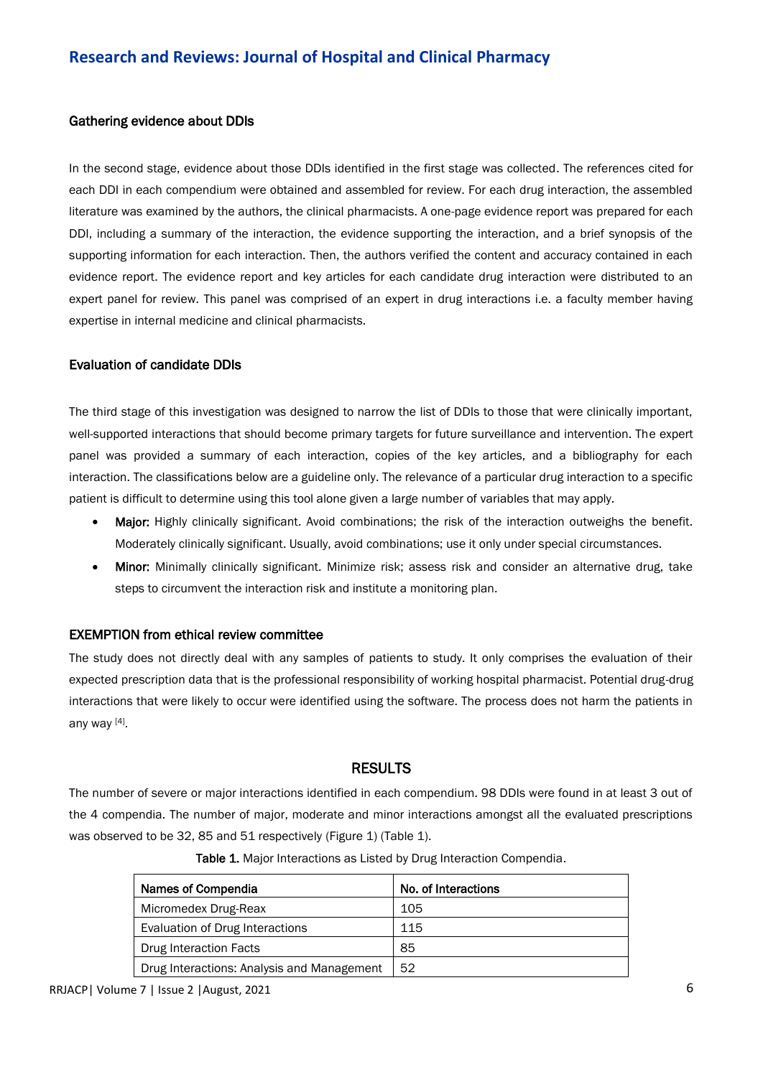#### Gathering evidence about DDIs

In the second stage, evidence about those DDIs identified in the first stage was collected. The references cited for each DDI in each compendium were obtained and assembled for review. For each drug interaction, the assembled literature was examined by the authors, the clinical pharmacists. A one-page evidence report was prepared for each DDI, including a summary of the interaction, the evidence supporting the interaction, and a brief synopsis of the supporting information for each interaction. Then, the authors verified the content and accuracy contained in each evidence report. The evidence report and key articles for each candidate drug interaction were distributed to an expert panel for review. This panel was comprised of an expert in drug interactions i.e. a faculty member having expertise in internal medicine and clinical pharmacists.

#### Evaluation of candidate DDIs

The third stage of this investigation was designed to narrow the list of DDIs to those that were clinically important, well-supported interactions that should become primary targets for future surveillance and intervention. The expert panel was provided a summary of each interaction, copies of the key articles, and a bibliography for each interaction. The classifications below are a guideline only. The relevance of a particular drug interaction to a specific patient is difficult to determine using this tool alone given a large number of variables that may apply.

- Major: Highly clinically significant. Avoid combinations; the risk of the interaction outweighs the benefit. Moderately clinically significant. Usually, avoid combinations; use it only under special circumstances.
- Minor: Minimally clinically significant. Minimize risk; assess risk and consider an alternative drug, take steps to circumvent the interaction risk and institute a monitoring plan.

#### EXEMPTION from ethical review committee

The study does not directly deal with any samples of patients to study. It only comprises the evaluation of their expected prescription data that is the professional responsibility of working hospital pharmacist. Potential drug-drug interactions that were likely to occur were identified using the software. The process does not harm the patients in any way [4].

### RESULTS

The number of severe or major interactions identified in each compendium. 98 DDIs were found in at least 3 out of the 4 compendia. The number of major, moderate and minor interactions amongst all the evaluated prescriptions was observed to be 32, 85 and 51 respectively (Figure 1) (Table 1).

| Names of Compendia                         | No. of Interactions |
|--------------------------------------------|---------------------|
| Micromedex Drug-Reax                       | 105                 |
| Evaluation of Drug Interactions            | 115                 |
| Drug Interaction Facts                     | 85                  |
| Drug Interactions: Analysis and Management | 52                  |

Table 1. Major Interactions as Listed by Drug Interaction Compendia.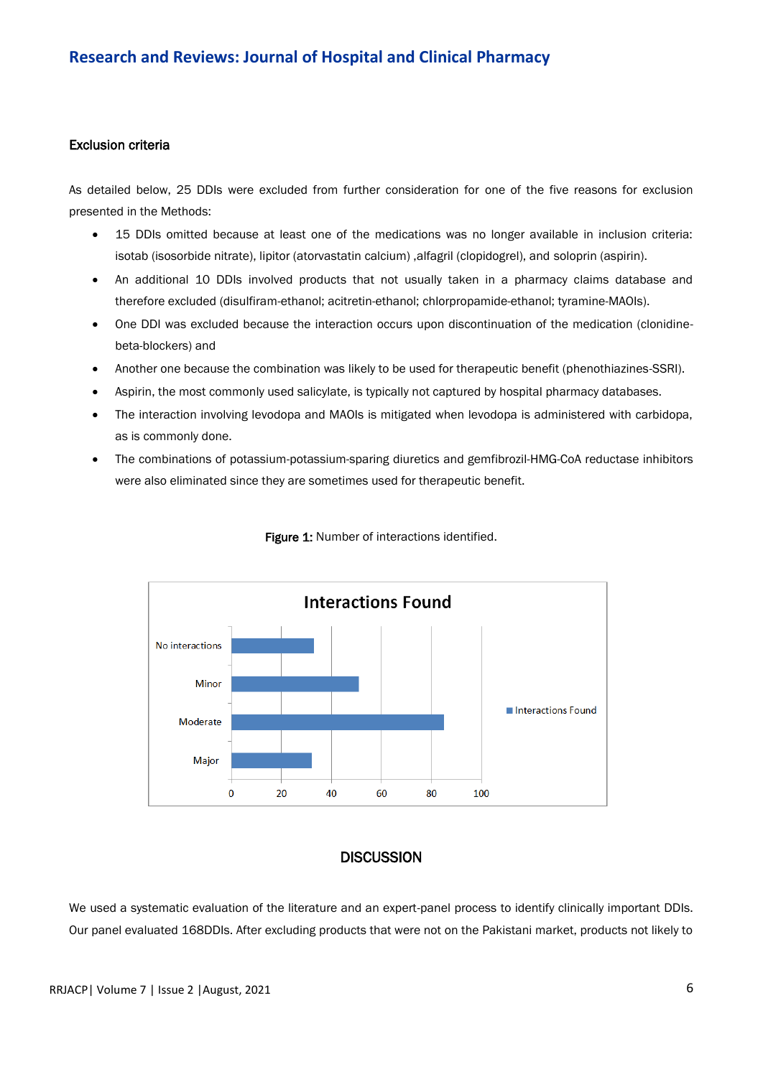#### Exclusion criteria

As detailed below, 25 DDIs were excluded from further consideration for one of the five reasons for exclusion presented in the Methods:

- 15 DDIs omitted because at least one of the medications was no longer available in inclusion criteria: isotab (isosorbide nitrate), lipitor (atorvastatin calcium) ,alfagril (clopidogrel), and soloprin (aspirin).
- An additional 10 DDIs involved products that not usually taken in a pharmacy claims database and therefore excluded (disulfiram-ethanol; acitretin-ethanol; chlorpropamide-ethanol; tyramine-MAOIs).
- One DDI was excluded because the interaction occurs upon discontinuation of the medication (clonidinebeta-blockers) and
- Another one because the combination was likely to be used for therapeutic benefit (phenothiazines-SSRI).
- Aspirin, the most commonly used salicylate, is typically not captured by hospital pharmacy databases.
- The interaction involving levodopa and MAOIs is mitigated when levodopa is administered with carbidopa, as is commonly done.
- The combinations of potassium-potassium-sparing diuretics and gemfibrozil-HMG-CoA reductase inhibitors were also eliminated since they are sometimes used for therapeutic benefit.



#### Figure 1: Number of interactions identified.

### **DISCUSSION**

We used a systematic evaluation of the literature and an expert-panel process to identify clinically important DDIs. Our panel evaluated 168DDIs. After excluding products that were not on the Pakistani market, products not likely to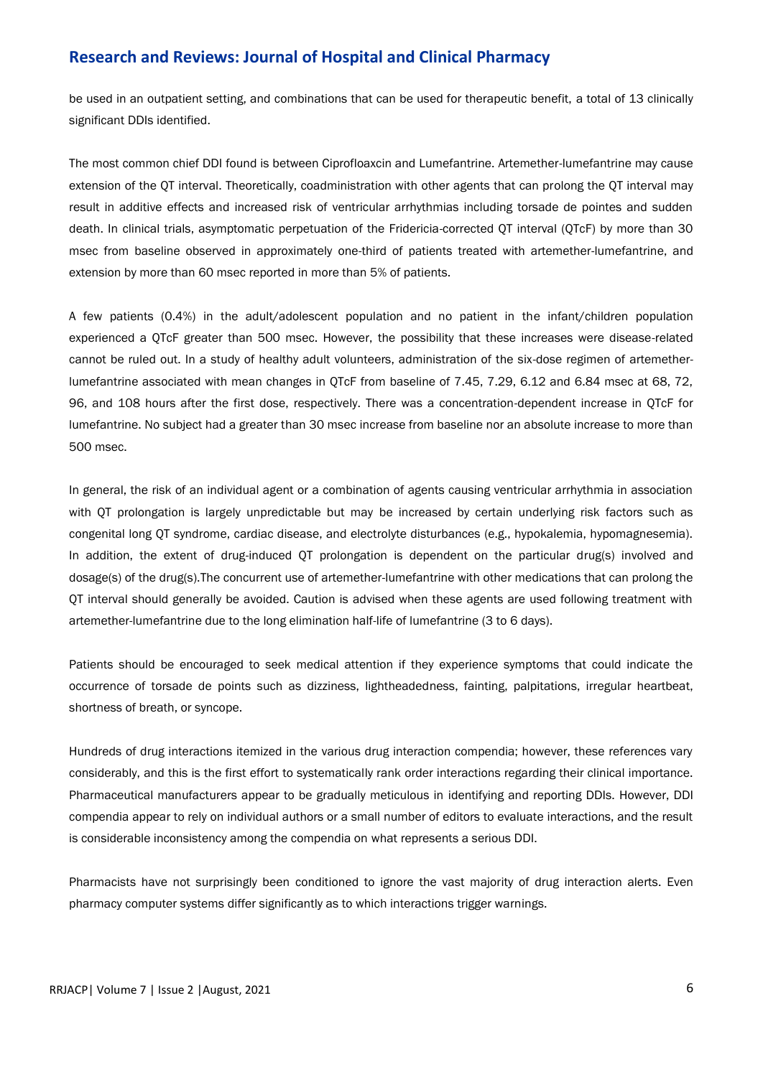be used in an outpatient setting, and combinations that can be used for therapeutic benefit, a total of 13 clinically significant DDIs identified.

The most common chief DDI found is between Ciprofloaxcin and Lumefantrine. Artemether-lumefantrine may cause extension of the QT interval. Theoretically, coadministration with other agents that can prolong the QT interval may result in additive effects and increased risk of ventricular arrhythmias including torsade de pointes and sudden death. In clinical trials, asymptomatic perpetuation of the Fridericia-corrected QT interval (QTcF) by more than 30 msec from baseline observed in approximately one-third of patients treated with artemether-lumefantrine, and extension by more than 60 msec reported in more than 5% of patients.

A few patients (0.4%) in the adult/adolescent population and no patient in the infant/children population experienced a QTcF greater than 500 msec. However, the possibility that these increases were disease-related cannot be ruled out. In a study of healthy adult volunteers, administration of the six-dose regimen of artemetherlumefantrine associated with mean changes in QTcF from baseline of 7.45, 7.29, 6.12 and 6.84 msec at 68, 72, 96, and 108 hours after the first dose, respectively. There was a concentration-dependent increase in QTcF for lumefantrine. No subject had a greater than 30 msec increase from baseline nor an absolute increase to more than 500 msec.

In general, the risk of an individual agent or a combination of agents causing ventricular arrhythmia in association with QT prolongation is largely unpredictable but may be increased by certain underlying risk factors such as congenital long QT syndrome, cardiac disease, and electrolyte disturbances (e.g., hypokalemia, hypomagnesemia). In addition, the extent of drug-induced QT prolongation is dependent on the particular drug(s) involved and dosage(s) of the drug(s).The concurrent use of artemether-lumefantrine with other medications that can prolong the QT interval should generally be avoided. Caution is advised when these agents are used following treatment with artemether-lumefantrine due to the long elimination half-life of lumefantrine (3 to 6 days).

Patients should be encouraged to seek medical attention if they experience symptoms that could indicate the occurrence of torsade de points such as dizziness, lightheadedness, fainting, palpitations, irregular heartbeat, shortness of breath, or syncope.

Hundreds of drug interactions itemized in the various drug interaction compendia; however, these references vary considerably, and this is the first effort to systematically rank order interactions regarding their clinical importance. Pharmaceutical manufacturers appear to be gradually meticulous in identifying and reporting DDIs. However, DDI compendia appear to rely on individual authors or a small number of editors to evaluate interactions, and the result is considerable inconsistency among the compendia on what represents a serious DDI.

Pharmacists have not surprisingly been conditioned to ignore the vast majority of drug interaction alerts. Even pharmacy computer systems differ significantly as to which interactions trigger warnings.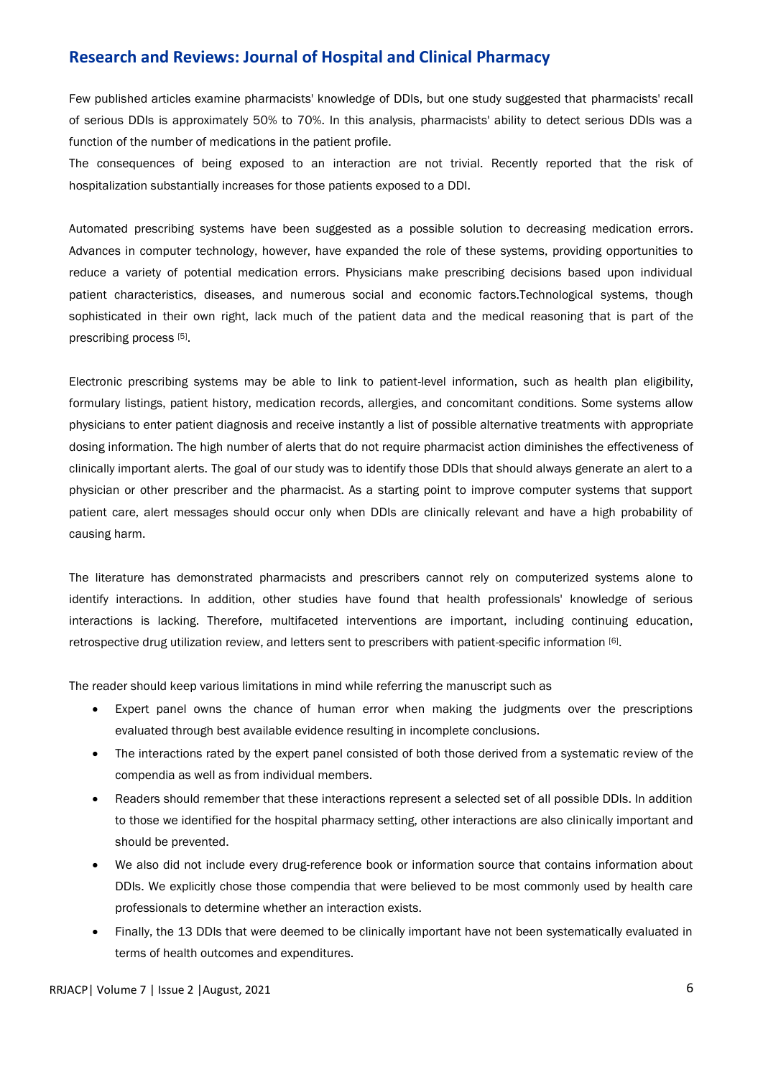Few published articles examine pharmacists' knowledge of DDIs, but one study suggested that pharmacists' recall of serious DDIs is approximately 50% to 70%. In this analysis, pharmacists' ability to detect serious DDIs was a function of the number of medications in the patient profile.

The consequences of being exposed to an interaction are not trivial. Recently reported that the risk of hospitalization substantially increases for those patients exposed to a DDI.

Automated prescribing systems have been suggested as a possible solution to decreasing medication errors. Advances in computer technology, however, have expanded the role of these systems, providing opportunities to reduce a variety of potential medication errors. Physicians make prescribing decisions based upon individual patient characteristics, diseases, and numerous social and economic factors.Technological systems, though sophisticated in their own right, lack much of the patient data and the medical reasoning that is part of the prescribing process [5].

Electronic prescribing systems may be able to link to patient-level information, such as health plan eligibility, formulary listings, patient history, medication records, allergies, and concomitant conditions. Some systems allow physicians to enter patient diagnosis and receive instantly a list of possible alternative treatments with appropriate dosing information. The high number of alerts that do not require pharmacist action diminishes the effectiveness of clinically important alerts. The goal of our study was to identify those DDIs that should always generate an alert to a physician or other prescriber and the pharmacist. As a starting point to improve computer systems that support patient care, alert messages should occur only when DDIs are clinically relevant and have a high probability of causing harm.

The literature has demonstrated pharmacists and prescribers cannot rely on computerized systems alone to identify interactions. In addition, other studies have found that health professionals' knowledge of serious interactions is lacking. Therefore, multifaceted interventions are important, including continuing education, retrospective drug utilization review, and letters sent to prescribers with patient-specific information [6].

The reader should keep various limitations in mind while referring the manuscript such as

- Expert panel owns the chance of human error when making the judgments over the prescriptions evaluated through best available evidence resulting in incomplete conclusions.
- The interactions rated by the expert panel consisted of both those derived from a systematic review of the compendia as well as from individual members.
- Readers should remember that these interactions represent a selected set of all possible DDIs. In addition to those we identified for the hospital pharmacy setting, other interactions are also clinically important and should be prevented.
- We also did not include every drug-reference book or information source that contains information about DDIs. We explicitly chose those compendia that were believed to be most commonly used by health care professionals to determine whether an interaction exists.
- Finally, the 13 DDIs that were deemed to be clinically important have not been systematically evaluated in terms of health outcomes and expenditures.